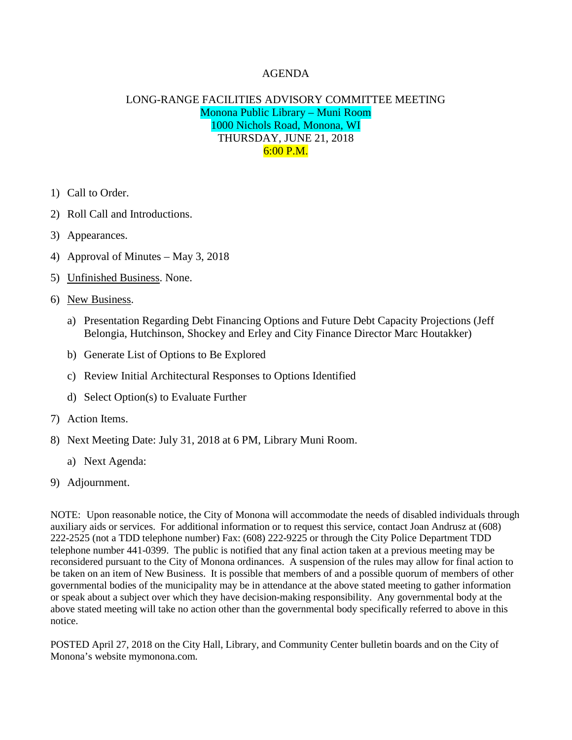## AGENDA

## LONG-RANGE FACILITIES ADVISORY COMMITTEE MEETING Monona Public Library – Muni Room 1000 Nichols Road, Monona, WI THURSDAY, JUNE 21, 2018 6:00 P.M.

- 1) Call to Order.
- 2) Roll Call and Introductions.
- 3) Appearances.
- 4) Approval of Minutes May 3, 2018
- 5) Unfinished Business. None.
- 6) New Business.
	- a) Presentation Regarding Debt Financing Options and Future Debt Capacity Projections (Jeff Belongia, Hutchinson, Shockey and Erley and City Finance Director Marc Houtakker)
	- b) Generate List of Options to Be Explored
	- c) Review Initial Architectural Responses to Options Identified
	- d) Select Option(s) to Evaluate Further
- 7) Action Items.
- 8) Next Meeting Date: July 31, 2018 at 6 PM, Library Muni Room.
	- a) Next Agenda:
- 9) Adjournment.

NOTE: Upon reasonable notice, the City of Monona will accommodate the needs of disabled individuals through auxiliary aids or services. For additional information or to request this service, contact Joan Andrusz at (608) 222-2525 (not a TDD telephone number) Fax: (608) 222-9225 or through the City Police Department TDD telephone number 441-0399. The public is notified that any final action taken at a previous meeting may be reconsidered pursuant to the City of Monona ordinances. A suspension of the rules may allow for final action to be taken on an item of New Business. It is possible that members of and a possible quorum of members of other governmental bodies of the municipality may be in attendance at the above stated meeting to gather information or speak about a subject over which they have decision-making responsibility. Any governmental body at the above stated meeting will take no action other than the governmental body specifically referred to above in this notice.

POSTED April 27, 2018 on the City Hall, Library, and Community Center bulletin boards and on the City of Monona's website mymonona.com.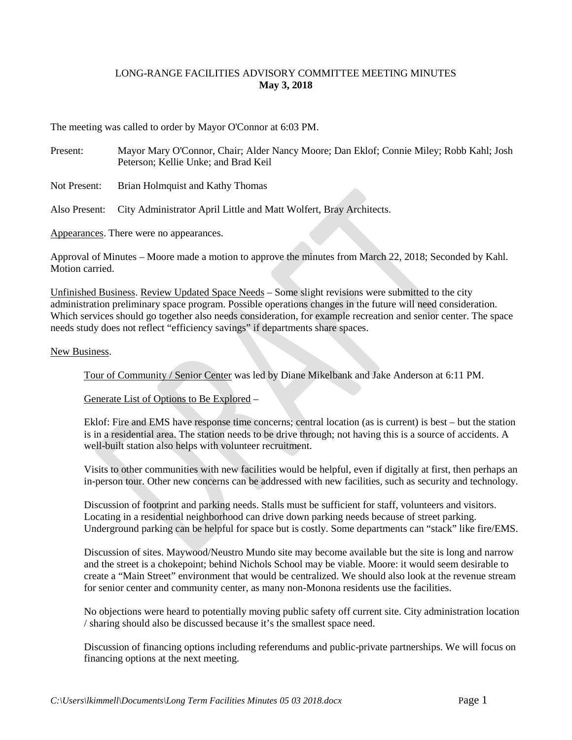## LONG-RANGE FACILITIES ADVISORY COMMITTEE MEETING MINUTES **May 3, 2018**

The meeting was called to order by Mayor O'Connor at 6:03 PM.

- Present: Mayor Mary O'Connor, Chair; Alder Nancy Moore; Dan Eklof; Connie Miley; Robb Kahl; Josh Peterson; Kellie Unke; and Brad Keil
- Not Present: Brian Holmquist and Kathy Thomas

Also Present: City Administrator April Little and Matt Wolfert, Bray Architects.

Appearances. There were no appearances.

Approval of Minutes – Moore made a motion to approve the minutes from March 22, 2018; Seconded by Kahl. Motion carried.

Unfinished Business. Review Updated Space Needs – Some slight revisions were submitted to the city administration preliminary space program. Possible operations changes in the future will need consideration. Which services should go together also needs consideration, for example recreation and senior center. The space needs study does not reflect "efficiency savings" if departments share spaces.

## New Business.

Tour of Community / Senior Center was led by Diane Mikelbank and Jake Anderson at 6:11 PM.

Generate List of Options to Be Explored –

Eklof: Fire and EMS have response time concerns; central location (as is current) is best – but the station is in a residential area. The station needs to be drive through; not having this is a source of accidents. A well-built station also helps with volunteer recruitment.

Visits to other communities with new facilities would be helpful, even if digitally at first, then perhaps an in-person tour. Other new concerns can be addressed with new facilities, such as security and technology.

Discussion of footprint and parking needs. Stalls must be sufficient for staff, volunteers and visitors. Locating in a residential neighborhood can drive down parking needs because of street parking. Underground parking can be helpful for space but is costly. Some departments can "stack" like fire/EMS.

Discussion of sites. Maywood/Neustro Mundo site may become available but the site is long and narrow and the street is a chokepoint; behind Nichols School may be viable. Moore: it would seem desirable to create a "Main Street" environment that would be centralized. We should also look at the revenue stream for senior center and community center, as many non-Monona residents use the facilities.

No objections were heard to potentially moving public safety off current site. City administration location / sharing should also be discussed because it's the smallest space need.

Discussion of financing options including referendums and public-private partnerships. We will focus on financing options at the next meeting.